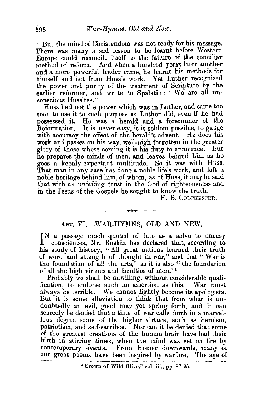But the mind of Christendom was not ready for his message. There was many a sad lesson to be learnt before Western Europe could reconcile itself to the failure of the conciliar method of reform. And when a hundred years later another and a more powerful leader came, he learnt his methods for himself and not from Huss's work. Yet Luther recognised the power and purity of the treatment of Scripture by the earlier reformer, and wrote to Spalatin: "We are all unconscious Hussites."

Huss had not the power which was in Luther, and came too soon to use it to such purpose as Luther did, even if he had possessed it. He was a herald and a forerunner of the Reformation. It is never easy, it is seldom possible, to gauge with accuracy the effect of the herald's advent. He does his work and passes on his way, well-nigh forgotten in the greater glory of those whose coming it is his duty to announce. But he prepares the minds of men, and leaves behind him as he goes a keenly-expectant multitude. So it was with Huss. That man in any case has done a noble life's work, and left a noble heritage behind him, of whom, as of Huss, it may be said that with an unfailing trust in the God of righteousness and in the Jesus of the Gospels he sought to know the truth.

H. B. CoLCHESTER.

## ART. VI.-WAR-HYMNS, OLD AND NEW.

---~----

IN a passage much quoted of late as a salve to uneasy consciences, Mr. Ruskin has declared that, according to consciences, Mr. Ruskin has declared that, according to. his study of history, "All great nations learned their truth of word and strength of thought in war," and that " War is the foundation of all the arts," as it is also " the foundation of all the high virtues and faculties of men."1

Probably we shall be unwilling, without considerable qualification, to endorse such an assertion as this. War must always be terrible. We cannot lightly become its apologists. But it is some alleviation to think that from what is undoubtedly an evil, good may yet spring forth, and it can scarcely be denied that a time of war calls forth in a marvellous degree some of the higher virtues, such as heroism, patriotism, and self-sacrifice. Nor can it be denied that some of the greatest creations of the human brain have had their birth in stirring times, when the mind was set on fire by contemporary events. From Homer downwards, many of our great poems have been inspired by warfare. The age of

<sup>1</sup> "Crown of Wild Olive," vol. iii., pp. 87-95.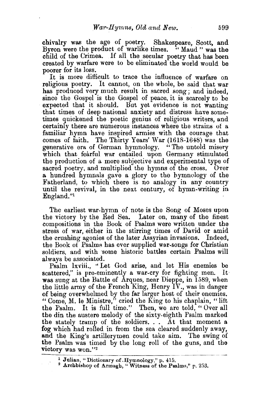chivalry was the age of poetry. Shakespeare, Scott. and Byron were the product of warlike times. "Maud" was the child of the Crimea. If all the secular poetry that has been created by warfare were to be eliminated the world would be poorer for its loss.

It is more difficult to trace the influence of warfare on religious poetry. It cannot, on the whole, be said that war has produced very much result in sacred song; and indeed, since the Gospel is the Gospel of peace, it is scarcely to be expected that it should. But yet evidence is not wanting that times of deep national anxiety and distress have sometimes quickened the poetic genius of religious writers, and certainly there are numerous instances where the strains ot a familiar hymn have inspired armies with the courage that comes of faith. The Thirty Years' War (1618-1648) was the generative era of German hymnology. " The untold misery which that fearful war entailed upon Germany stimulated the production of a more subjective and experimental type of sacred poetry, and multiplied the hymns of the cross. Over a hundred hymnals gave a glory to the hymnology of the Fatherland, to which there is no analogy in any country until the revival, in the next century, of hymn-writing in England."<sup>1</sup>

The earliest war-hymn of note is the Song of Moses upon the victory by the Red Sea. Later on, many of the finest compositions in the Book of Psalms were written under the stress of war, either in the stirring times of David or amid the crushing agonies of the later Assyrian invasions. Indeed, the Book of Psalms has ever supplied war-songs for Christian soldiers, and with some historic battles certain Psalms will always be associated.

Psalm lxviii., ·• Let God arise, and let His enemies be scattered," is pre-eminently a war-cry for fighting men. It was sung at the Battle of Arques, near Dieppe, in 1589, when the little army of the French King, Henry IV., was in danger of being overwhelmed by the far larger host of their enemies. "Come,  $M$ . le Ministre," cried the King to his chaplain, "lift" the Psalm. It is full time." Then, we are told, "Over all the din the austere melody of the sixty-eighth Psalm marked the stately tramp of the soldiers.  $\ldots$  At that moment a fog which had rolled in from the sea cleared suddenly away, and the King's artillerymen could take aim. The swing of the Psalm was timed by the long roll of the guns, and the victory was won."2

<sup>&</sup>lt;sup>1</sup> Julian, "Dictionary of .Hymnology," p. 415.<br><sup>2</sup> Archbishop of Armagh, "Witness of the Psalms," p. 253.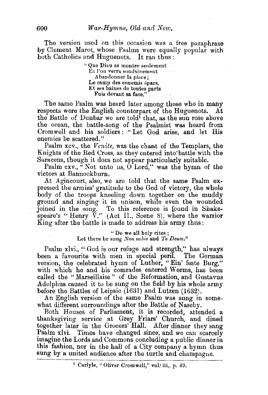The version used on this occasion was a free paraphrase by Clement Marot, whose Psalms were equally popular with both Catholics and Huguenots. It ran thus:

> ''Que Dieu se montre senlement Et l'on verra soudainement A bandonner la place; Le camp des ennemis épars, Et ses haines de toutes parts Fuis devant sa face,"

The same Psalm was heard later among those who in many respects were the English counterpart of the Huguenots. At the Battle of Dunbar we are told<sup>1</sup> that, as the sun rose above the ocean, the battle-song of the Psalmist was heard from Cromwell and his soldiers : " Let God arise, and let His enemies be scattered."

Psalm xcv., the *Venite,* was the chant of the Templars, the Knights of the Red Cross, as thev entered into'battle with the Saracens, though it does not appear particularly suitable.

Psalm  $cxy$ , "Not unto us,  $\hat{O}$  Lord," was the hymn of the victors at Bannockburn.

At Agincourt, also, we are told that the same Psalm expressed the armies' gratitude to the God of victory, the whole body of the troops kneeling down together on the muddy ground and singing it in unison, while even the wounded JOined in the song. To this reference is found in Shakespeare's "Henry  $V''$ . (Act II., Scene 8), where the warrior King after the battle is made to address his army thus:

## "Do we all holy rites ; Let there be sung *Non nobis* and *Te Deum."*

Psalm xlvi., "God is our refuge and strength," has always been a favourite with men in special peril. The German version, the celebrated hymn of Luther, "Ein' feste Burg," with which he and his comrades entered Worms, has been called the "Marseillaise" of the Reformation, and Gustavus Adolphus caused it to be sung on the field by his whole army before the Battles of Leipsic (1631) and Lutzen (1632).

An English version of the same Psalm was sung in somewhat different surroundings after the Battle of Naseby.

Both Houses of Parliament, it is recorded, attended a thanksgiving service at Grey Friars' Church, and dined together later in the Grocers' Hall. After dinner they sang Psalm xlvi. Times have changed since, and we can scarcely imagine the Lords and Commons concluding a public dinner in this fashion, nor in the hall of a City company a hymn thus sung by a united audience after the turtle and champagne.

<sup>&</sup>lt;sup>1</sup> Carlyle, "Oliver Cromwell," vol. iii., p. 49.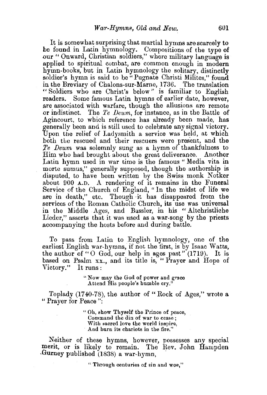It is somewhat surprising that martial hymns are scarcely to be found in Latin hymnology. Compositions of the type of our "Onward, Christian soldiers," where military language is applied to spiritual combat, are common enough in modern hymn-books, but in Latin hymnology the solitary, distinctly soldier's hymn is said to be "Pugnate Christi Milites," found in the Breviary of Chalons-sur-Marne, 1736. The translation " Soldiers who are Christ's below" is familiar to English readers. Some famous Latin hymns of earlier date, however, Are associated with warfare, though the allusions are remote or indistinct. The *Te Deum*, for instance, as in the Battle of Agincourt, to which reference has already been made, has generally been and is still used to celebrate any signal victory. Upon the relief of Ladysmith a service was held, at which both the rescued and their rescuers were present, and the *Te Deum* was solemnly sung as a hymn of thankfulness to Him who had brought about the great deliverance. Another Latin hymn used in war time is the famous" Media vita in morte sumus," generally supposed, though the authorship is disputed, to have been written by the Swiss monk Notker about 900 A.D. A rendering of it remains in the Funeral Service of the Church of England, " In the midst of life we are in death," etc. Though it has disappeared from the services of the Roman Catholic Church, its use was universal in the Middle Ages, and Bassler, in his " Altchristliche Lieder," asserts that it was used as a war-song by the priests accompanying the hosts before and during battle.

To pass from IAttin to English hymnology, one of the earliest English war-hymns, if not the first, is by Isaac Watts, the author of "O God, our help in ages past" (1719). It is based on Psalm xx., and its title is, " Prayer and Hope of Victory." It runs:

> ''Now may the God of power and grace Attend His people's humble cry.<sup>3</sup>

Toplady (1740-78), the author of "Rock of Ages," wrote a "Prayer for Peace":

> " Oh, show Thyself the Prince of peace, Command the din of war to cease ; With sacred love the world inspire, And burn its chariots in the fire."

Neither of these hymns, however, possesses any special merit, or is likely to remain. The Rev. John Hampden .Gurney published (1838) a war-hymn, ,

" Through centuries of sin and woe,"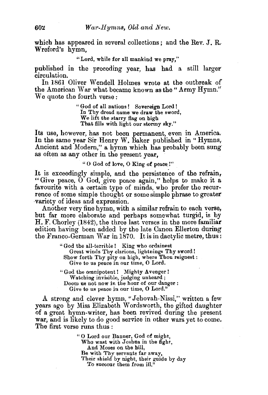which has appeared in several collections; and the Rev. J.  $R_c$ Wreford's hymn,

"Lord, while for all mankind we pray,''

published in the preceding year, has had a still larger circulation.

In 1861 Oliver Wendell Holmes wrote at the outbreak *o(*  the American War what became known as the " Army Hymn." We quote the fourth verse :

> " God of all nations ! Sovereign Lord ! In Thy dread name we draw the sword, We lift the starry flag on high That fills with light our stormy sky."

Its use, however, has not been permanent, even in America, In the same year Sir Henry W, Baker published in "Hymns, Ancient and Modern," a hymn which has probably been sung as often as any other in the present year,

" 0 God of love, 0 King of peace.!"

It is exceedingly simple, and the persistence of the refrain, "Give peace,  $\tilde{O}$  God, give peace again," helps to make it a favourite with a certain type of minds, who prefer the recurrence of some simple thought or some simple phrase to greater ·variety of ideas and expression.

Another very fine hymn, with a similar refrain to each verse, but far more elaborate and perhaps somewhat turgid, is by H. F. Chorley (1842), the three last verses in the more familiar edition having been added by the late Canon Ellerton during the Franco-German War in 1870. It is in dactylic metre, thus:

> "God the all-terrible! King who ordainest Great winds Thy clarions, lightnings Thy sword! Show forth Thy pity on high, where Thou reignest : Give to us peace in our time, 0 Lord.

"God the omnipotent! Mighty Avenger! Watching invisible, judging unheard; Doom us not now in the hour of our danger : Give to us peace in our time, 0 Lord."

A strong and clever hymn, "Jehovah-Nissi," written a few years ago by Miss Elizabeth Wordsworth, the gifted daughter of a great hymn-writer, has been revived during the present war, and is likely to do good service in other wars yet to come. The first verse runs thus :

> "0 Lord our Banner, God of might, Who wast with Joshua in the fight, And Moses on the hill, Be with Thy servants far away, Their shield by night, their guide by day To succour them from ill."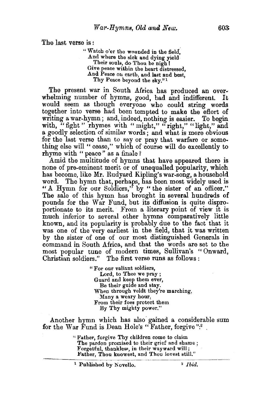The last verse is :

"Watch o'er the wounded in the field, And where the sick and dying yield Their souls, do Thou be nigh ! Give peace within the heart distressed. And Peace on earth, and last and best, Thy Peace beyond the sky." 1

The present war in South Africa has produced an overwhelming number of hymns, good, bad and indifferent. It would seem as though everyone who could string words together into verse had been tempted to make the effort of writing a war-hymn; and, indeed, nothing is easier. To begin with, "fight" rhymes with " might," "right," "light," and a goodly selection of similar words; and what is more obvious for the last verse than to say or pray that warfare or something else will " cease," which of course will do excellently to rhyme with "peace" as a finale?

Amid the multitude of hymns that have appeared there is none of pre-eminent merit or of unequalled popularity, which has become, like Mr. Rudyard Kipling's war-song, a household word. The hymn that, perhaps, has been most widely used is "A Hymn for our Soldiers," by "the sister of an officer." The sale of this hymn has brought in several hundreds of pounds for the War Fund, but its diffusion is quite disproportionate to its merit. From a literary point of view it is much inferior to several other hymns comparatively little known, and its popularity is probably due to the fact that it was one of the very earliest in the field, that it was written by the sister of one of our most distinguished Generals in command in South Africa, and that the words are set to the most popular tune of modern times, Sullivan's " Onward, Christian soldiers." The first verse runs as follows :

> "For our valiant soldiers, Lord, to Thee we pray ; Guard and keep them ever, Be their guide and stay. When through veldt they're marching, Many a weary hour, From their foes protect them By Thy mighty power."

Another hymn which has also gained a considerable sum for the War Fund is Dean Hole's " Father, forgive ":2.

> "Father, forgive Thy children come to claim The pardon promised to their grief and shame ; Forgetful, thankless, in their wayward will; Father, Thou knowest, and Thou lovest still."

> <sup>1</sup> Published by Novello. <sup>2</sup> *Ibid.*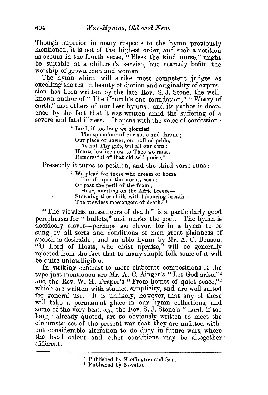Though superior in many respects to the hymn previously mentioned, it is not of the highest order, and such a petition as occurs in the fourth verse, "Bless the kind nurse," might be suitable at a children's service, but scarcely befits the worship of grown men and women.

The hymn which will strike most competent judges as excelling the rest in beauty of diction and originality of expression has been written by the late Rev. S. J. Stone, the wellknown author of "The Church's one foundation," "Weary of earth," and others of our best hymns; and its pathos is deepened by the fact that it was written amid the suffering of a severe and fatal illness. It opens with the voice of confession:

" Lord, if too long we glorified

The splendour of our state and throne; Our place of power, our roll of pride, As not Thy gift, but all our own : Hearts lowlier now to Thee we raise, Remorseful of that old self-praise."

Presently it turns to petition, and the third verse runs :

"We plead for those who dream of home Far off upon the stormy seas ; Or past the peril of the foam; Hear, hurtling on the Afric breeze-Storming those hills with labouring breath-The viewless messengers of death." $1$ 

" The viewless messengers of death" is a particularly good periphrasis for " bullets," and marks the poet. The hymn is decidedly clever-perhaps too clever, for in a hymn to be sung by all sorts and conditions of men great plainness of speech is desirable; and an able hymn by Mr. A. C. Benson, "0 Lord of Hosts, who didst upraise," will be generally rejected from the fact that to many simple folk some of it will be quite unintelligible.

In striking contrast to more elaborate compositions of the type just mentioned are Mr. A. C. Ainger's "Let God arise,"<sup>2</sup> and the Rev. W. H. Draper's "From homes of quiet peace,"2 which are written with studied simplicity, and are well suited for general use. It is unlikely, however, that any of these will take a permanent place in our hymn collections, and some of the very best, *e.g.*, the Rev. S. J. Stone's "Lord, if too long," already quoted, are so obviously written to meet the circumstances of the present war that they are unfitted without considerable alteration to do duty in future wars, where the local colour and other conditions may be altogether different.

<sup>&</sup>lt;sup>1</sup> Published by Skeffington and Son.<br><sup>2</sup> Published by Novello.